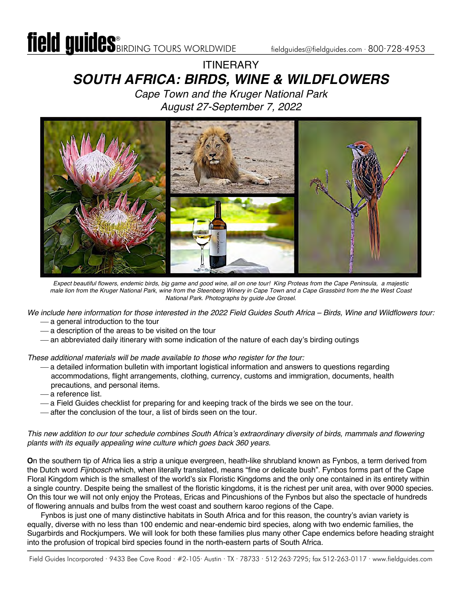### **ITINERARY** *SOUTH AFRICA: BIRDS, WINE & WILDFLOWERS*

*Cape Town and the Kruger National Park August 27-September 7, 2022*



*Expect beautiful flowers, endemic birds, big game and good wine, all on one tour! King Proteas from the Cape Peninsula, a majestic male lion from the Kruger National Park, wine from the Steenberg Winery in Cape Town and a Cape Grassbird from the the West Coast National Park. Photographs by guide Joe Grosel.*

*We include here information for those interested in the 2022 Field Guides South Africa – Birds, Wine and Wildflowers tour:* 

- ¾ a general introduction to the tour
- $-$  a description of the areas to be visited on the tour
- an abbreviated daily itinerary with some indication of the nature of each day's birding outings

*These additional materials will be made available to those who register for the tour:*

- $-$  a detailed information bulletin with important logistical information and answers to questions regarding accommodations, flight arrangements, clothing, currency, customs and immigration, documents, health precautions, and personal items.
- a reference list.
- a Field Guides checklist for preparing for and keeping track of the birds we see on the tour.
- after the conclusion of the tour, a list of birds seen on the tour.

*This new addition to our tour schedule combines South Africa's extraordinary diversity of birds, mammals and flowering plants with its equally appealing wine culture which goes back 360 years.*

**O**n the southern tip of Africa lies a strip a unique evergreen, heath-like shrubland known as Fynbos, a term derived from the Dutch word *Fijnbosch* which, when literally translated, means "fine or delicate bush". Fynbos forms part of the Cape Floral Kingdom which is the smallest of the world's six Floristic Kingdoms and the only one contained in its entirety within a single country. Despite being the smallest of the floristic kingdoms, it is the richest per unit area, with over 9000 species. On this tour we will not only enjoy the Proteas, Ericas and Pincushions of the Fynbos but also the spectacle of hundreds of flowering annuals and bulbs from the west coast and southern karoo regions of the Cape.

Fynbos is just one of many distinctive habitats in South Africa and for this reason, the country's avian variety is equally, diverse with no less than 100 endemic and near-endemic bird species, along with two endemic families, the Sugarbirds and Rockjumpers. We will look for both these families plus many other Cape endemics before heading straight into the profusion of tropical bird species found in the north-eastern parts of South Africa.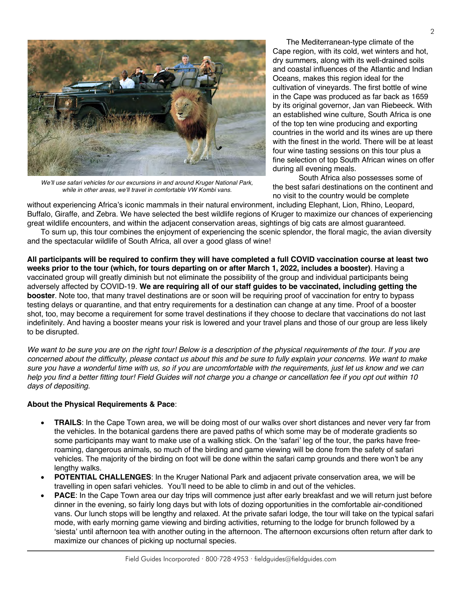

*We'll use safari vehicles for our excursions in and around Kruger National Park, while in other areas, we'll travel in comfortable VW Kombi vans.*

The Mediterranean-type climate of the Cape region, with its cold, wet winters and hot, dry summers, along with its well-drained soils and coastal influences of the Atlantic and Indian Oceans, makes this region ideal for the cultivation of vineyards. The first bottle of wine in the Cape was produced as far back as 1659 by its original governor, Jan van Riebeeck. With an established wine culture, South Africa is one of the top ten wine producing and exporting countries in the world and its wines are up there with the finest in the world. There will be at least four wine tasting sessions on this tour plus a fine selection of top South African wines on offer during all evening meals.

South Africa also possesses some of the best safari destinations on the continent and no visit to the country would be complete

without experiencing Africa's iconic mammals in their natural environment, including Elephant, Lion, Rhino, Leopard, Buffalo, Giraffe, and Zebra. We have selected the best wildlife regions of Kruger to maximize our chances of experiencing great wildlife encounters, and within the adjacent conservation areas, sightings of big cats are almost guaranteed.

To sum up, this tour combines the enjoyment of experiencing the scenic splendor, the floral magic, the avian diversity and the spectacular wildlife of South Africa, all over a good glass of wine!

**All participants will be required to confirm they will have completed a full COVID vaccination course at least two weeks prior to the tour (which, for tours departing on or after March 1, 2022, includes a booster)**. Having a vaccinated group will greatly diminish but not eliminate the possibility of the group and individual participants being adversely affected by COVID-19. **We are requiring all of our staff guides to be vaccinated, including getting the booster**. Note too, that many travel destinations are or soon will be requiring proof of vaccination for entry to bypass testing delays or quarantine, and that entry requirements for a destination can change at any time. Proof of a booster shot, too, may become a requirement for some travel destinations if they choose to declare that vaccinations do not last indefinitely. And having a booster means your risk is lowered and your travel plans and those of our group are less likely to be disrupted.

*We want to be sure you are on the right tour! Below is a description of the physical requirements of the tour. If you are concerned about the difficulty, please contact us about this and be sure to fully explain your concerns. We want to make sure you have a wonderful time with us, so if you are uncomfortable with the requirements, just let us know and we can help you find a better fitting tour! Field Guides will not charge you a change or cancellation fee if you opt out within 10 days of depositing.*

#### **About the Physical Requirements & Pace**:

- **TRAILS**: In the Cape Town area, we will be doing most of our walks over short distances and never very far from the vehicles. In the botanical gardens there are paved paths of which some may be of moderate gradients so some participants may want to make use of a walking stick. On the 'safari' leg of the tour, the parks have freeroaming, dangerous animals, so much of the birding and game viewing will be done from the safety of safari vehicles. The majority of the birding on foot will be done within the safari camp grounds and there won't be any lengthy walks.
- **POTENTIAL CHALLENGES**: In the Kruger National Park and adjacent private conservation area, we will be travelling in open safari vehicles. You'll need to be able to climb in and out of the vehicles.
- **PACE**: In the Cape Town area our day trips will commence just after early breakfast and we will return just before dinner in the evening, so fairly long days but with lots of dozing opportunities in the comfortable air-conditioned vans. Our lunch stops will be lengthy and relaxed. At the private safari lodge, the tour will take on the typical safari mode, with early morning game viewing and birding activities, returning to the lodge for brunch followed by a 'siesta' until afternoon tea with another outing in the afternoon. The afternoon excursions often return after dark to maximize our chances of picking up nocturnal species.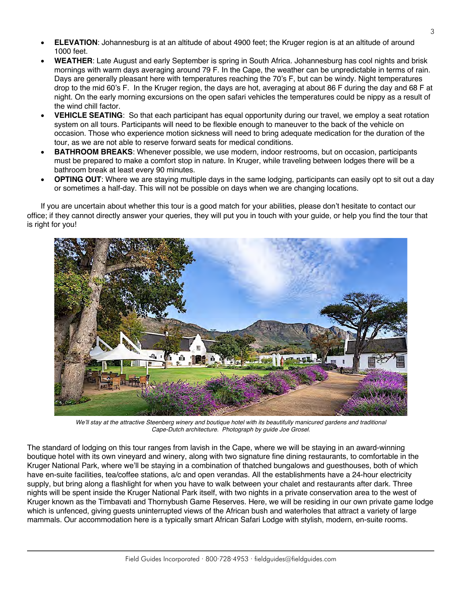- **ELEVATION:** Johannesburg is at an altitude of about 4900 feet; the Kruger region is at an altitude of around 1000 feet.
- **WEATHER**: Late August and early September is spring in South Africa. Johannesburg has cool nights and brisk mornings with warm days averaging around 79 F. In the Cape, the weather can be unpredictable in terms of rain. Days are generally pleasant here with temperatures reaching the 70's F, but can be windy. Night temperatures drop to the mid 60's F. In the Kruger region, the days are hot, averaging at about 86 F during the day and 68 F at night. On the early morning excursions on the open safari vehicles the temperatures could be nippy as a result of the wind chill factor.
- **VEHICLE SEATING**: So that each participant has equal opportunity during our travel, we employ a seat rotation system on all tours. Participants will need to be flexible enough to maneuver to the back of the vehicle on occasion. Those who experience motion sickness will need to bring adequate medication for the duration of the tour, as we are not able to reserve forward seats for medical conditions.
- **BATHROOM BREAKS:** Whenever possible, we use modern, indoor restrooms, but on occasion, participants must be prepared to make a comfort stop in nature. In Kruger, while traveling between lodges there will be a bathroom break at least every 90 minutes.
- **OPTING OUT**: Where we are staying multiple days in the same lodging, participants can easily opt to sit out a day or sometimes a half-day. This will not be possible on days when we are changing locations.

If you are uncertain about whether this tour is a good match for your abilities, please don't hesitate to contact our office; if they cannot directly answer your queries, they will put you in touch with your guide, or help you find the tour that is right for you!



We'll stay at the attractive Steenberg winery and boutique hotel with its beautifully manicured gardens and traditional *Cape-Dutch architecture. Photograph by guide Joe Grosel.*

The standard of lodging on this tour ranges from lavish in the Cape, where we will be staying in an award-winning boutique hotel with its own vineyard and winery, along with two signature fine dining restaurants, to comfortable in the Kruger National Park, where we'll be staying in a combination of thatched bungalows and guesthouses, both of which have en-suite facilities, tea/coffee stations, a/c and open verandas. All the establishments have a 24-hour electricity supply, but bring along a flashlight for when you have to walk between your chalet and restaurants after dark. Three nights will be spent inside the Kruger National Park itself, with two nights in a private conservation area to the west of Kruger known as the Timbavati and Thornybush Game Reserves. Here, we will be residing in our own private game lodge which is unfenced, giving guests uninterrupted views of the African bush and waterholes that attract a variety of large mammals. Our accommodation here is a typically smart African Safari Lodge with stylish, modern, en-suite rooms.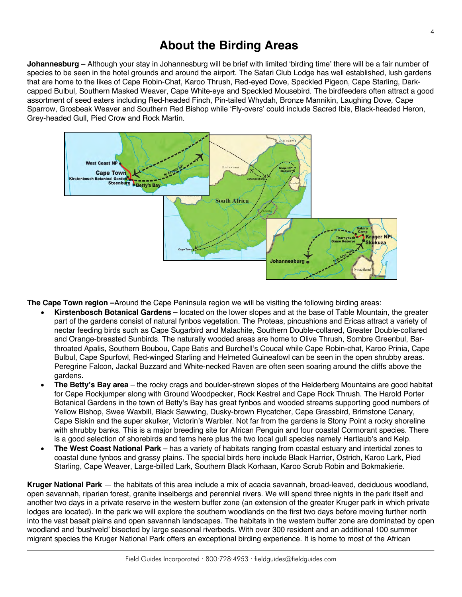### **About the Birding Areas**

**Johannesburg –** Although your stay in Johannesburg will be brief with limited 'birding time' there will be a fair number of species to be seen in the hotel grounds and around the airport. The Safari Club Lodge has well established, lush gardens that are home to the likes of Cape Robin-Chat, Karoo Thrush, Red-eyed Dove, Speckled Pigeon, Cape Starling, Darkcapped Bulbul, Southern Masked Weaver, Cape White-eye and Speckled Mousebird. The birdfeeders often attract a good assortment of seed eaters including Red-headed Finch, Pin-tailed Whydah, Bronze Mannikin, Laughing Dove, Cape Sparrow, Grosbeak Weaver and Southern Red Bishop while 'Fly-overs' could include Sacred Ibis, Black-headed Heron, Grey-headed Gull, Pied Crow and Rock Martin.



**The Cape Town region –**Around the Cape Peninsula region we will be visiting the following birding areas:

- **Kirstenbosch Botanical Gardens –** located on the lower slopes and at the base of Table Mountain, the greater part of the gardens consist of natural fynbos vegetation. The Proteas, pincushions and Ericas attract a variety of nectar feeding birds such as Cape Sugarbird and Malachite, Southern Double-collared, Greater Double-collared and Orange-breasted Sunbirds. The naturally wooded areas are home to Olive Thrush, Sombre Greenbul, Barthroated Apalis, Southern Boubou, Cape Batis and Burchell's Coucal while Cape Robin-chat, Karoo Prinia, Cape Bulbul, Cape Spurfowl, Red-winged Starling and Helmeted Guineafowl can be seen in the open shrubby areas. Peregrine Falcon, Jackal Buzzard and White-necked Raven are often seen soaring around the cliffs above the gardens.
- **The Betty's Bay area** the rocky crags and boulder-strewn slopes of the Helderberg Mountains are good habitat for Cape Rockjumper along with Ground Woodpecker, Rock Kestrel and Cape Rock Thrush. The Harold Porter Botanical Gardens in the town of Betty's Bay has great fynbos and wooded streams supporting good numbers of Yellow Bishop, Swee Waxbill, Black Sawwing, Dusky-brown Flycatcher, Cape Grassbird, Brimstone Canary, Cape Siskin and the super skulker, Victorin's Warbler. Not far from the gardens is Stony Point a rocky shoreline with shrubby banks. This is a major breeding site for African Penguin and four coastal Cormorant species. There is a good selection of shorebirds and terns here plus the two local gull species namely Hartlaub's and Kelp.
- **The West Coast National Park** has a variety of habitats ranging from coastal estuary and intertidal zones to coastal dune fynbos and grassy plains. The special birds here include Black Harrier, Ostrich, Karoo Lark, Pied Starling, Cape Weaver, Large-billed Lark, Southern Black Korhaan, Karoo Scrub Robin and Bokmakierie.

**Kruger National Park** — the habitats of this area include a mix of acacia savannah, broad-leaved, deciduous woodland, open savannah, riparian forest, granite inselbergs and perennial rivers. We will spend three nights in the park itself and another two days in a private reserve in the western buffer zone (an extension of the greater Kruger park in which private lodges are located). In the park we will explore the southern woodlands on the first two days before moving further north into the vast basalt plains and open savannah landscapes. The habitats in the western buffer zone are dominated by open woodland and 'bushveld' bisected by large seasonal riverbeds. With over 300 resident and an additional 100 summer migrant species the Kruger National Park offers an exceptional birding experience. It is home to most of the African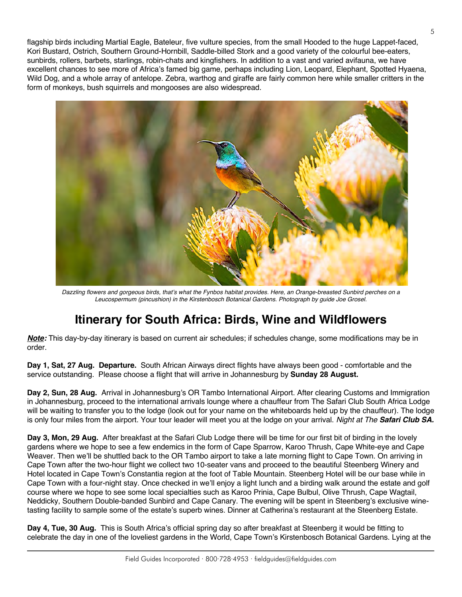flagship birds including Martial Eagle, Bateleur, five vulture species, from the small Hooded to the huge Lappet-faced, Kori Bustard, Ostrich, Southern Ground-Hornbill, Saddle-billed Stork and a good variety of the colourful bee-eaters, sunbirds, rollers, barbets, starlings, robin-chats and kingfishers. In addition to a vast and varied avifauna, we have excellent chances to see more of Africa's famed big game, perhaps including Lion, Leopard, Elephant, Spotted Hyaena, Wild Dog, and a whole array of antelope. Zebra, warthog and giraffe are fairly common here while smaller critters in the form of monkeys, bush squirrels and mongooses are also widespread.



*Dazzling flowers and gorgeous birds, that's what the Fynbos habitat provides. Here, an Orange-breasted Sunbird perches on a Leucospermum (pincushion) in the Kirstenbosch Botanical Gardens. Photograph by guide Joe Grosel.*

# **Itinerary for South Africa: Birds, Wine and Wildflowers**

*Note:* This day-by-day itinerary is based on current air schedules; if schedules change, some modifications may be in order.

**Day 1, Sat, 27 Aug. Departure.** South African Airways direct flights have always been good - comfortable and the service outstanding. Please choose a flight that will arrive in Johannesburg by **Sunday 28 August.**

**Day 2, Sun, 28 Aug.** Arrival in Johannesburg's OR Tambo International Airport. After clearing Customs and Immigration in Johannesburg, proceed to the international arrivals lounge where a chauffeur from The Safari Club South Africa Lodge will be waiting to transfer you to the lodge (look out for your name on the whiteboards held up by the chauffeur). The lodge is only four miles from the airport. Your tour leader will meet you at the lodge on your arrival. *Night at The Safari Club SA.* 

**Day 3, Mon, 29 Aug.** After breakfast at the Safari Club Lodge there will be time for our first bit of birding in the lovely gardens where we hope to see a few endemics in the form of Cape Sparrow, Karoo Thrush, Cape White-eye and Cape Weaver. Then we'll be shuttled back to the OR Tambo airport to take a late morning flight to Cape Town. On arriving in Cape Town after the two-hour flight we collect two 10-seater vans and proceed to the beautiful Steenberg Winery and Hotel located in Cape Town's Constantia region at the foot of Table Mountain. Steenberg Hotel will be our base while in Cape Town with a four-night stay. Once checked in we'll enjoy a light lunch and a birding walk around the estate and golf course where we hope to see some local specialties such as Karoo Prinia, Cape Bulbul, Olive Thrush, Cape Wagtail, Neddicky, Southern Double-banded Sunbird and Cape Canary. The evening will be spent in Steenberg's exclusive winetasting facility to sample some of the estate's superb wines. Dinner at Catherina's restaurant at the Steenberg Estate.

**Day 4, Tue, 30 Aug.** This is South Africa's official spring day so after breakfast at Steenberg it would be fitting to celebrate the day in one of the loveliest gardens in the World, Cape Town's Kirstenbosch Botanical Gardens. Lying at the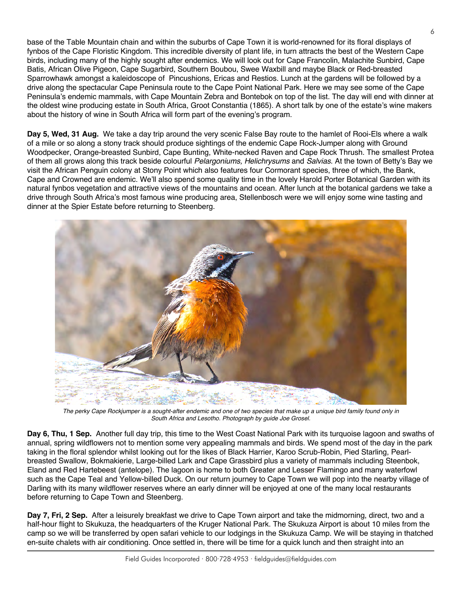base of the Table Mountain chain and within the suburbs of Cape Town it is world-renowned for its floral displays of fynbos of the Cape Floristic Kingdom. This incredible diversity of plant life, in turn attracts the best of the Western Cape birds, including many of the highly sought after endemics. We will look out for Cape Francolin, Malachite Sunbird, Cape Batis, African Olive Pigeon, Cape Sugarbird, Southern Boubou, Swee Waxbill and maybe Black or Red-breasted Sparrowhawk amongst a kaleidoscope of Pincushions, Ericas and Restios. Lunch at the gardens will be followed by a drive along the spectacular Cape Peninsula route to the Cape Point National Park. Here we may see some of the Cape Peninsula's endemic mammals, with Cape Mountain Zebra and Bontebok on top of the list. The day will end with dinner at the oldest wine producing estate in South Africa, Groot Constantia (1865). A short talk by one of the estate's wine makers about the history of wine in South Africa will form part of the evening's program.

**Day 5, Wed, 31 Aug.** We take a day trip around the very scenic False Bay route to the hamlet of Rooi-Els where a walk of a mile or so along a stony track should produce sightings of the endemic Cape Rock-Jumper along with Ground Woodpecker, Orange-breasted Sunbird, Cape Bunting, White-necked Raven and Cape Rock Thrush. The smallest Protea of them all grows along this track beside colourful *Pelargoniums, Helichrysums* and *Salvias*. At the town of Betty's Bay we visit the African Penguin colony at Stony Point which also features four Cormorant species, three of which, the Bank, Cape and Crowned are endemic. We'll also spend some quality time in the lovely Harold Porter Botanical Garden with its natural fynbos vegetation and attractive views of the mountains and ocean. After lunch at the botanical gardens we take a drive through South Africa's most famous wine producing area, Stellenbosch were we will enjoy some wine tasting and dinner at the Spier Estate before returning to Steenberg.



*The perky Cape Rockjumper is a sought-after endemic and one of two species that make up a unique bird family found only in South Africa and Lesotho. Photograph by guide Joe Grosel.*

**Day 6, Thu, 1 Sep.** Another full day trip, this time to the West Coast National Park with its turquoise lagoon and swaths of annual, spring wildflowers not to mention some very appealing mammals and birds. We spend most of the day in the park taking in the floral splendor whilst looking out for the likes of Black Harrier, Karoo Scrub-Robin, Pied Starling, Pearlbreasted Swallow, Bokmakierie, Large-billed Lark and Cape Grassbird plus a variety of mammals including Steenbok, Eland and Red Hartebeest (antelope). The lagoon is home to both Greater and Lesser Flamingo and many waterfowl such as the Cape Teal and Yellow-billed Duck. On our return journey to Cape Town we will pop into the nearby village of Darling with its many wildflower reserves where an early dinner will be enjoyed at one of the many local restaurants before returning to Cape Town and Steenberg.

**Day 7, Fri, 2 Sep.** After a leisurely breakfast we drive to Cape Town airport and take the midmorning, direct, two and a half-hour flight to Skukuza, the headquarters of the Kruger National Park. The Skukuza Airport is about 10 miles from the camp so we will be transferred by open safari vehicle to our lodgings in the Skukuza Camp. We will be staying in thatched en-suite chalets with air conditioning. Once settled in, there will be time for a quick lunch and then straight into an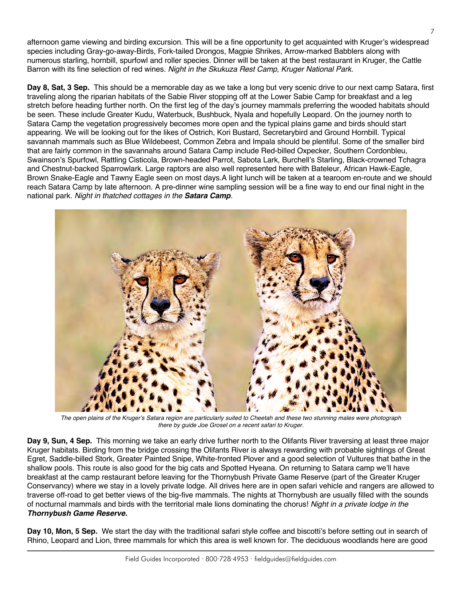afternoon game viewing and birding excursion. This will be a fine opportunity to get acquainted with Kruger's widespread species including Gray-go-away-Birds, Fork-tailed Drongos, Magpie Shrikes, Arrow-marked Babblers along with numerous starling, hornbill, spurfowl and roller species. Dinner will be taken at the best restaurant in Kruger, the Cattle Barron with its fine selection of red wines. *Night in the Skukuza Rest Camp, Kruger National Park.*

**Day 8, Sat, 3 Sep.** This should be a memorable day as we take a long but very scenic drive to our next camp Satara, first traveling along the riparian habitats of the Sabie River stopping off at the Lower Sabie Camp for breakfast and a leg stretch before heading further north. On the first leg of the day's journey mammals preferring the wooded habitats should be seen. These include Greater Kudu, Waterbuck, Bushbuck, Nyala and hopefully Leopard. On the journey north to Satara Camp the vegetation progressively becomes more open and the typical plains game and birds should start appearing. We will be looking out for the likes of Ostrich, Kori Bustard, Secretarybird and Ground Hornbill. Typical savannah mammals such as Blue Wildebeest, Common Zebra and Impala should be plentiful. Some of the smaller bird that are fairly common in the savannahs around Satara Camp include Red-billed Oxpecker, Southern Cordonbleu, Swainson's Spurfowl, Rattling Cisticola, Brown-headed Parrot, Sabota Lark, Burchell's Starling, Black-crowned Tchagra and Chestnut-backed Sparrowlark. Large raptors are also well represented here with Bateleur, African Hawk-Eagle, Brown Snake-Eagle and Tawny Eagle seen on most days.A light lunch will be taken at a tearoom en-route and we should reach Satara Camp by late afternoon. A pre-dinner wine sampling session will be a fine way to end our final night in the national park. *Night in thatched cottages in the Satara Camp.* 



*The open plains of the Kruger's Satara region are particularly suited to Cheetah and these two stunning males were photograph there by guide Joe Grosel on a recent safari to Kruger.*

**Day 9, Sun, 4 Sep.** This morning we take an early drive further north to the Olifants River traversing at least three major Kruger habitats. Birding from the bridge crossing the Olifants River is always rewarding with probable sightings of Great Egret, Saddle-billed Stork, Greater Painted Snipe, White-fronted Plover and a good selection of Vultures that bathe in the shallow pools. This route is also good for the big cats and Spotted Hyeana. On returning to Satara camp we'll have breakfast at the camp restaurant before leaving for the Thornybush Private Game Reserve (part of the Greater Kruger Conservancy) where we stay in a lovely private lodge. All drives here are in open safari vehicle and rangers are allowed to traverse off-road to get better views of the big-five mammals. The nights at Thornybush are usually filled with the sounds of nocturnal mammals and birds with the territorial male lions dominating the chorus! *Night in a private lodge in the Thornybush Game Reserve.*

**Day 10, Mon, 5 Sep.** We start the day with the traditional safari style coffee and biscotti's before setting out in search of Rhino, Leopard and Lion, three mammals for which this area is well known for. The deciduous woodlands here are good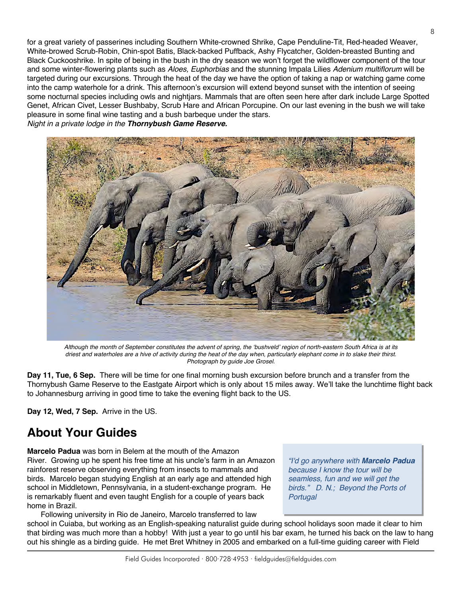for a great variety of passerines including Southern White-crowned Shrike, Cape Penduline-Tit, Red-headed Weaver, White-browed Scrub-Robin, Chin-spot Batis, Black-backed Puffback, Ashy Flycatcher, Golden-breasted Bunting and Black Cuckooshrike. In spite of being in the bush in the dry season we won't forget the wildflower component of the tour and some winter-flowering plants such as *Aloes, Euphorbias* and the stunning Impala Lilies *Adenium multiflorum* will be targeted during our excursions. Through the heat of the day we have the option of taking a nap or watching game come into the camp waterhole for a drink. This afternoon's excursion will extend beyond sunset with the intention of seeing some nocturnal species including owls and nightjars. Mammals that are often seen here after dark include Large Spotted Genet, African Civet, Lesser Bushbaby, Scrub Hare and African Porcupine. On our last evening in the bush we will take pleasure in some final wine tasting and a bush barbeque under the stars. *Night in a private lodge in the Thornybush Game Reserve.*



*Although the month of September constitutes the advent of spring, the 'bushveld' region of north-eastern South Africa is at its driest and waterholes are a hive of activity during the heat of the day when, particularly elephant come in to slake their thirst. Photograph by guide Joe Grosel.*

**Day 11, Tue, 6 Sep.** There will be time for one final morning bush excursion before brunch and a transfer from the Thornybush Game Reserve to the Eastgate Airport which is only about 15 miles away. We'll take the lunchtime flight back to Johannesburg arriving in good time to take the evening flight back to the US.

**Day 12, Wed, 7 Sep.** Arrive in the US.

### **About Your Guides**

**Marcelo Padua** was born in Belem at the mouth of the Amazon River. Growing up he spent his free time at his uncle's farm in an Amazon rainforest reserve observing everything from insects to mammals and birds. Marcelo began studying English at an early age and attended high school in Middletown, Pennsylvania, in a student-exchange program. He is remarkably fluent and even taught English for a couple of years back home in Brazil.

*"I'd go anywhere with Marcelo Padua because I know the tour will be seamless, fun and we will get the birds." D. N.; Beyond the Ports of Portugal*

Following university in Rio de Janeiro, Marcelo transferred to law

school in Cuiaba, but working as an English-speaking naturalist guide during school holidays soon made it clear to him that birding was much more than a hobby! With just a year to go until his bar exam, he turned his back on the law to hang out his shingle as a birding guide. He met Bret Whitney in 2005 and embarked on a full-time guiding career with Field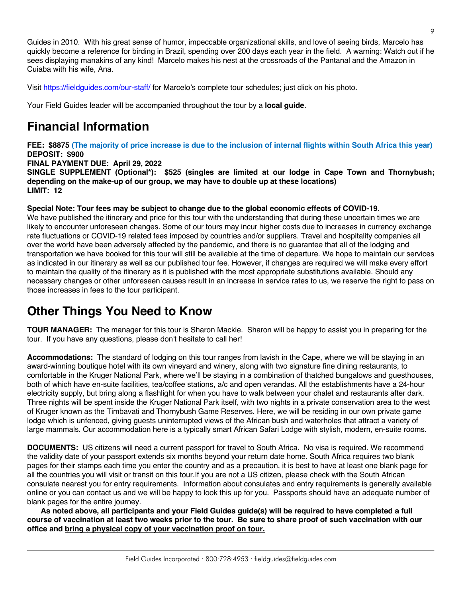Guides in 2010. With his great sense of humor, impeccable organizational skills, and love of seeing birds, Marcelo has quickly become a reference for birding in Brazil, spending over 200 days each year in the field. A warning: Watch out if he sees displaying manakins of any kind! Marcelo makes his nest at the crossroads of the Pantanal and the Amazon in Cuiaba with his wife, Ana.

Visit https://fieldguides.com/our-staff/ for Marcelo's complete tour schedules; just click on his photo.

Your Field Guides leader will be accompanied throughout the tour by a **local guide**.

## **Financial Information**

**FEE: \$8875 (The majority of price increase is due to the inclusion of internal flights within South Africa this year) DEPOSIT: \$900 FINAL PAYMENT DUE: April 29, 2022 SINGLE SUPPLEMENT (Optional\*): \$525 (singles are limited at our lodge in Cape Town and Thornybush; depending on the make-up of our group, we may have to double up at these locations) LIMIT: 12**

#### **Special Note: Tour fees may be subject to change due to the global economic effects of COVID-19.**

We have published the itinerary and price for this tour with the understanding that during these uncertain times we are likely to encounter unforeseen changes. Some of our tours may incur higher costs due to increases in currency exchange rate fluctuations or COVID-19 related fees imposed by countries and/or suppliers. Travel and hospitality companies all over the world have been adversely affected by the pandemic, and there is no guarantee that all of the lodging and transportation we have booked for this tour will still be available at the time of departure. We hope to maintain our services as indicated in our itinerary as well as our published tour fee. However, if changes are required we will make every effort to maintain the quality of the itinerary as it is published with the most appropriate substitutions available. Should any necessary changes or other unforeseen causes result in an increase in service rates to us, we reserve the right to pass on those increases in fees to the tour participant.

### **Other Things You Need to Know**

**TOUR MANAGER:** The manager for this tour is Sharon Mackie. Sharon will be happy to assist you in preparing for the tour. If you have any questions, please don't hesitate to call her!

**Accommodations:** The standard of lodging on this tour ranges from lavish in the Cape, where we will be staying in an award-winning boutique hotel with its own vineyard and winery, along with two signature fine dining restaurants, to comfortable in the Kruger National Park, where we'll be staying in a combination of thatched bungalows and guesthouses, both of which have en-suite facilities, tea/coffee stations, a/c and open verandas. All the establishments have a 24-hour electricity supply, but bring along a flashlight for when you have to walk between your chalet and restaurants after dark. Three nights will be spent inside the Kruger National Park itself, with two nights in a private conservation area to the west of Kruger known as the Timbavati and Thornybush Game Reserves. Here, we will be residing in our own private game lodge which is unfenced, giving guests uninterrupted views of the African bush and waterholes that attract a variety of large mammals. Our accommodation here is a typically smart African Safari Lodge with stylish, modern, en-suite rooms.

**DOCUMENTS:** US citizens will need a current passport for travel to South Africa. No visa is required. We recommend the validity date of your passport extends six months beyond your return date home. South Africa requires two blank pages for their stamps each time you enter the country and as a precaution, it is best to have at least one blank page for all the countries you will visit or transit on this tour.If you are not a US citizen, please check with the South African consulate nearest you for entry requirements. Information about consulates and entry requirements is generally available online or you can contact us and we will be happy to look this up for you. Passports should have an adequate number of blank pages for the entire journey.

**As noted above, all participants and your Field Guides guide(s) will be required to have completed a full course of vaccination at least two weeks prior to the tour. Be sure to share proof of such vaccination with our office and bring a physical copy of your vaccination proof on tour.**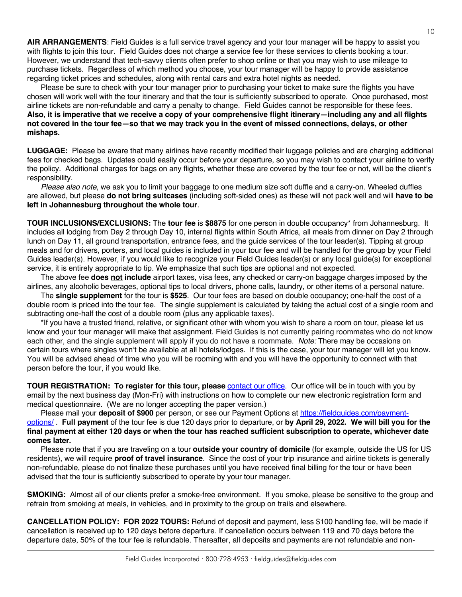**AIR ARRANGEMENTS**: Field Guides is a full service travel agency and your tour manager will be happy to assist you with flights to join this tour. Field Guides does not charge a service fee for these services to clients booking a tour. However, we understand that tech-savvy clients often prefer to shop online or that you may wish to use mileage to purchase tickets. Regardless of which method you choose, your tour manager will be happy to provide assistance regarding ticket prices and schedules, along with rental cars and extra hotel nights as needed.

Please be sure to check with your tour manager prior to purchasing your ticket to make sure the flights you have chosen will work well with the tour itinerary and that the tour is sufficiently subscribed to operate. Once purchased, most airline tickets are non-refundable and carry a penalty to change. Field Guides cannot be responsible for these fees. **Also, it is imperative that we receive a copy of your comprehensive flight itinerary—including any and all flights not covered in the tour fee—so that we may track you in the event of missed connections, delays, or other mishaps.**

**LUGGAGE:** Please be aware that many airlines have recently modified their luggage policies and are charging additional fees for checked bags. Updates could easily occur before your departure, so you may wish to contact your airline to verify the policy. Additional charges for bags on any flights, whether these are covered by the tour fee or not, will be the client's responsibility.

*Please also note*, we ask you to limit your baggage to one medium size soft duffle and a carry-on. Wheeled duffles are allowed, but please **do not bring suitcases** (including soft-sided ones) as these will not pack well and will **have to be left in Johannesburg throughout the whole tour**.

**TOUR INCLUSIONS/EXCLUSIONS:** The **tour fee** is **\$8875** for one person in double occupancy\* from Johannesburg. It includes all lodging from Day 2 through Day 10, internal flights within South Africa, all meals from dinner on Day 2 through lunch on Day 11, all ground transportation, entrance fees, and the guide services of the tour leader(s). Tipping at group meals and for drivers, porters, and local guides is included in your tour fee and will be handled for the group by your Field Guides leader(s). However, if you would like to recognize your Field Guides leader(s) or any local guide(s) for exceptional service, it is entirely appropriate to tip. We emphasize that such tips are optional and not expected.

The above fee **does not include** airport taxes, visa fees, any checked or carry-on baggage charges imposed by the airlines, any alcoholic beverages, optional tips to local drivers, phone calls, laundry, or other items of a personal nature.

The **single supplement** for the tour is **\$525**. Our tour fees are based on double occupancy; one-half the cost of a double room is priced into the tour fee. The single supplement is calculated by taking the actual cost of a single room and subtracting one-half the cost of a double room (plus any applicable taxes).

\*If you have a trusted friend, relative, or significant other with whom you wish to share a room on tour, please let us know and your tour manager will make that assignment. Field Guides is not currently pairing roommates who do not know each other, and the single supplement will apply if you do not have a roommate. *Note:* There may be occasions on certain tours where singles won't be available at all hotels/lodges. If this is the case, your tour manager will let you know. You will be advised ahead of time who you will be rooming with and you will have the opportunity to connect with that person before the tour, if you would like.

**TOUR REGISTRATION: To register for this tour, please** [contact our office.](https://fieldguides.com/contact-us/) Our office will be in touch with you by email by the next business day (Mon-Fri) with instructions on how to complete our new electronic registration form and medical questionnaire. (We are no longer accepting the paper version.)

Please mail your **deposit of \$900** per person, or see our Payment Options at [https://fieldguides.com/payment](https://fieldguides.com/payment-options/)[options/](https://fieldguides.com/payment-options/) . **Full payment** of the tour fee is due 120 days prior to departure, or **by April 29, 2022. We will bill you for the final payment at either 120 days or when the tour has reached sufficient subscription to operate, whichever date comes later.**

Please note that if you are traveling on a tour **outside your country of domicile** (for example, outside the US for US residents), we will require **proof of travel insurance**. Since the cost of your trip insurance and airline tickets is generally non-refundable, please do not finalize these purchases until you have received final billing for the tour or have been advised that the tour is sufficiently subscribed to operate by your tour manager.

**SMOKING:** Almost all of our clients prefer a smoke-free environment. If you smoke, please be sensitive to the group and refrain from smoking at meals, in vehicles, and in proximity to the group on trails and elsewhere.

**CANCELLATION POLICY: FOR 2022 TOURS:** Refund of deposit and payment, less \$100 handling fee, will be made if cancellation is received up to 120 days before departure. If cancellation occurs between 119 and 70 days before the departure date, 50% of the tour fee is refundable. Thereafter, all deposits and payments are not refundable and non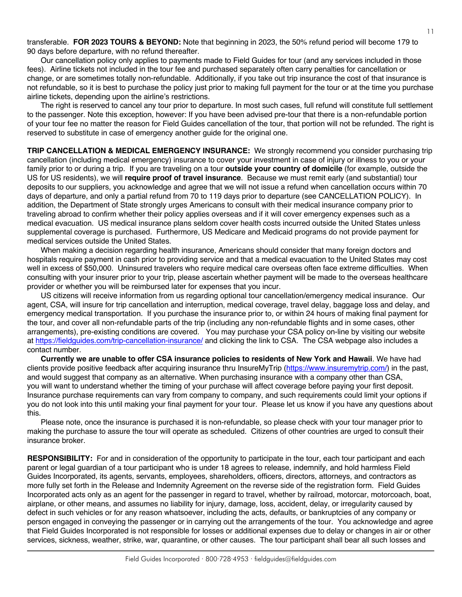transferable. **FOR 2023 TOURS & BEYOND:** Note that beginning in 2023, the 50% refund period will become 179 to 90 days before departure, with no refund thereafter.

Our cancellation policy only applies to payments made to Field Guides for tour (and any services included in those fees). Airline tickets not included in the tour fee and purchased separately often carry penalties for cancellation or change, or are sometimes totally non-refundable. Additionally, if you take out trip insurance the cost of that insurance is not refundable, so it is best to purchase the policy just prior to making full payment for the tour or at the time you purchase airline tickets, depending upon the airline's restrictions.

The right is reserved to cancel any tour prior to departure. In most such cases, full refund will constitute full settlement to the passenger. Note this exception, however: If you have been advised pre-tour that there is a non-refundable portion of your tour fee no matter the reason for Field Guides cancellation of the tour, that portion will not be refunded. The right is reserved to substitute in case of emergency another guide for the original one.

**TRIP CANCELLATION & MEDICAL EMERGENCY INSURANCE:** We strongly recommend you consider purchasing trip cancellation (including medical emergency) insurance to cover your investment in case of injury or illness to you or your family prior to or during a trip. If you are traveling on a tour **outside your country of domicile** (for example, outside the US for US residents), we will **require proof of travel insurance**. Because we must remit early (and substantial) tour deposits to our suppliers, you acknowledge and agree that we will not issue a refund when cancellation occurs within 70 days of departure, and only a partial refund from 70 to 119 days prior to departure (see CANCELLATION POLICY). In addition, the Department of State strongly urges Americans to consult with their medical insurance company prior to traveling abroad to confirm whether their policy applies overseas and if it will cover emergency expenses such as a medical evacuation. US medical insurance plans seldom cover health costs incurred outside the United States unless supplemental coverage is purchased. Furthermore, US Medicare and Medicaid programs do not provide payment for medical services outside the United States.

When making a decision regarding health insurance, Americans should consider that many foreign doctors and hospitals require payment in cash prior to providing service and that a medical evacuation to the United States may cost well in excess of \$50,000. Uninsured travelers who require medical care overseas often face extreme difficulties. When consulting with your insurer prior to your trip, please ascertain whether payment will be made to the overseas healthcare provider or whether you will be reimbursed later for expenses that you incur.

US citizens will receive information from us regarding optional tour cancellation/emergency medical insurance. Our agent, CSA, will insure for trip cancellation and interruption, medical coverage, travel delay, baggage loss and delay, and emergency medical transportation. If you purchase the insurance prior to, or within 24 hours of making final payment for the tour, and cover all non-refundable parts of the trip (including any non-refundable flights and in some cases, other arrangements), pre-existing conditions are covered. You may purchase your CSA policy on-line by visiting our website at https://fieldguides.com/trip-cancellation-insurance/ and clicking the link to CSA. The CSA webpage also includes a contact number.

**Currently we are unable to offer CSA insurance policies to residents of New York and Hawaii**. We have had clients provide positive feedback after acquiring insurance thru InsureMyTrip (https://www.insuremytrip.com/) in the past, and would suggest that company as an alternative. When purchasing insurance with a company other than CSA, you will want to understand whether the timing of your purchase will affect coverage before paying your first deposit. Insurance purchase requirements can vary from company to company, and such requirements could limit your options if you do not look into this until making your final payment for your tour. Please let us know if you have any questions about this.

Please note, once the insurance is purchased it is non-refundable, so please check with your tour manager prior to making the purchase to assure the tour will operate as scheduled. Citizens of other countries are urged to consult their insurance broker.

**RESPONSIBILITY:** For and in consideration of the opportunity to participate in the tour, each tour participant and each parent or legal guardian of a tour participant who is under 18 agrees to release, indemnify, and hold harmless Field Guides Incorporated, its agents, servants, employees, shareholders, officers, directors, attorneys, and contractors as more fully set forth in the Release and Indemnity Agreement on the reverse side of the registration form. Field Guides Incorporated acts only as an agent for the passenger in regard to travel, whether by railroad, motorcar, motorcoach, boat, airplane, or other means, and assumes no liability for injury, damage, loss, accident, delay, or irregularity caused by defect in such vehicles or for any reason whatsoever, including the acts, defaults, or bankruptcies of any company or person engaged in conveying the passenger or in carrying out the arrangements of the tour. You acknowledge and agree that Field Guides Incorporated is not responsible for losses or additional expenses due to delay or changes in air or other services, sickness, weather, strike, war, quarantine, or other causes. The tour participant shall bear all such losses and